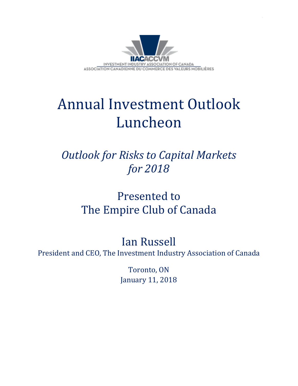

## Annual Investment Outlook Luncheon

## *Outlook for Risks to Capital Markets for 2018*

## Presented to The Empire Club of Canada

## Ian Russell

President and CEO, The Investment Industry Association of Canada

Toronto, ON January 11, 2018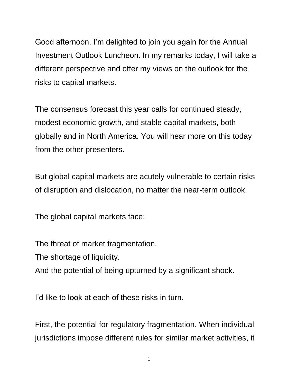Good afternoon. I'm delighted to join you again for the Annual Investment Outlook Luncheon. In my remarks today, I will take a different perspective and offer my views on the outlook for the risks to capital markets.

The consensus forecast this year calls for continued steady, modest economic growth, and stable capital markets, both globally and in North America. You will hear more on this today from the other presenters.

But global capital markets are acutely vulnerable to certain risks of disruption and dislocation, no matter the near-term outlook.

The global capital markets face:

The threat of market fragmentation.

The shortage of liquidity.

And the potential of being upturned by a significant shock.

I'd like to look at each of these risks in turn.

First, the potential for regulatory fragmentation. When individual jurisdictions impose different rules for similar market activities, it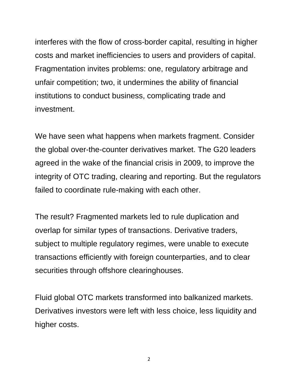interferes with the flow of cross-border capital, resulting in higher costs and market inefficiencies to users and providers of capital. Fragmentation invites problems: one, regulatory arbitrage and unfair competition; two, it undermines the ability of financial institutions to conduct business, complicating trade and investment.

We have seen what happens when markets fragment. Consider the global over-the-counter derivatives market. The G20 leaders agreed in the wake of the financial crisis in 2009, to improve the integrity of OTC trading, clearing and reporting. But the regulators failed to coordinate rule-making with each other.

The result? Fragmented markets led to rule duplication and overlap for similar types of transactions. Derivative traders, subject to multiple regulatory regimes, were unable to execute transactions efficiently with foreign counterparties, and to clear securities through offshore clearinghouses.

Fluid global OTC markets transformed into balkanized markets. Derivatives investors were left with less choice, less liquidity and higher costs.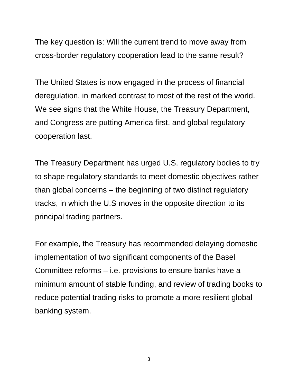The key question is: Will the current trend to move away from cross-border regulatory cooperation lead to the same result?

The United States is now engaged in the process of financial deregulation, in marked contrast to most of the rest of the world. We see signs that the White House, the Treasury Department, and Congress are putting America first, and global regulatory cooperation last.

The Treasury Department has urged U.S. regulatory bodies to try to shape regulatory standards to meet domestic objectives rather than global concerns – the beginning of two distinct regulatory tracks, in which the U.S moves in the opposite direction to its principal trading partners.

For example, the Treasury has recommended delaying domestic implementation of two significant components of the Basel Committee reforms – i.e. provisions to ensure banks have a minimum amount of stable funding, and review of trading books to reduce potential trading risks to promote a more resilient global banking system.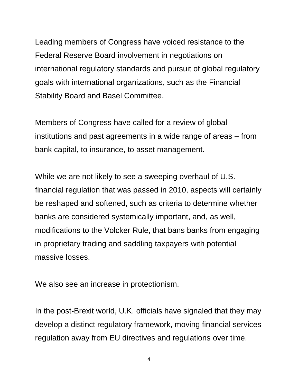Leading members of Congress have voiced resistance to the Federal Reserve Board involvement in negotiations on international regulatory standards and pursuit of global regulatory goals with international organizations, such as the Financial Stability Board and Basel Committee.

Members of Congress have called for a review of global institutions and past agreements in a wide range of areas – from bank capital, to insurance, to asset management.

While we are not likely to see a sweeping overhaul of U.S. financial regulation that was passed in 2010, aspects will certainly be reshaped and softened, such as criteria to determine whether banks are considered systemically important, and, as well, modifications to the Volcker Rule, that bans banks from engaging in proprietary trading and saddling taxpayers with potential massive losses.

We also see an increase in protectionism.

In the post-Brexit world, U.K. officials have signaled that they may develop a distinct regulatory framework, moving financial services regulation away from EU directives and regulations over time.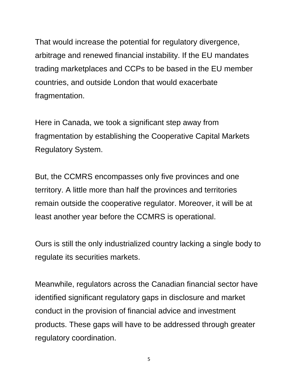That would increase the potential for regulatory divergence, arbitrage and renewed financial instability. If the EU mandates trading marketplaces and CCPs to be based in the EU member countries, and outside London that would exacerbate fragmentation.

Here in Canada, we took a significant step away from fragmentation by establishing the Cooperative Capital Markets Regulatory System.

But, the CCMRS encompasses only five provinces and one territory. A little more than half the provinces and territories remain outside the cooperative regulator. Moreover, it will be at least another year before the CCMRS is operational.

Ours is still the only industrialized country lacking a single body to regulate its securities markets.

Meanwhile, regulators across the Canadian financial sector have identified significant regulatory gaps in disclosure and market conduct in the provision of financial advice and investment products. These gaps will have to be addressed through greater regulatory coordination.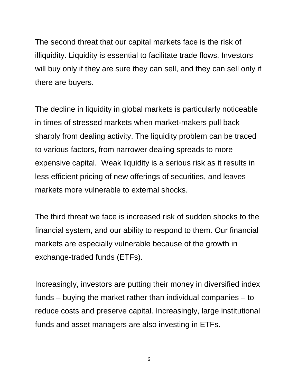The second threat that our capital markets face is the risk of illiquidity. Liquidity is essential to facilitate trade flows. Investors will buy only if they are sure they can sell, and they can sell only if there are buyers.

The decline in liquidity in global markets is particularly noticeable in times of stressed markets when market-makers pull back sharply from dealing activity. The liquidity problem can be traced to various factors, from narrower dealing spreads to more expensive capital. Weak liquidity is a serious risk as it results in less efficient pricing of new offerings of securities, and leaves markets more vulnerable to external shocks.

The third threat we face is increased risk of sudden shocks to the financial system, and our ability to respond to them. Our financial markets are especially vulnerable because of the growth in exchange-traded funds (ETFs).

Increasingly, investors are putting their money in diversified index funds – buying the market rather than individual companies – to reduce costs and preserve capital. Increasingly, large institutional funds and asset managers are also investing in ETFs.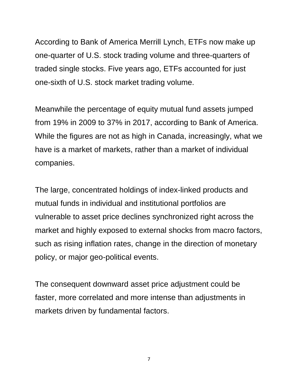According to Bank of America Merrill Lynch, ETFs now make up one-quarter of U.S. stock trading volume and three-quarters of traded single stocks. Five years ago, ETFs accounted for just one-sixth of U.S. stock market trading volume.

Meanwhile the percentage of equity mutual fund assets jumped from 19% in 2009 to 37% in 2017, according to Bank of America. While the figures are not as high in Canada, increasingly, what we have is a market of markets, rather than a market of individual companies.

The large, concentrated holdings of index-linked products and mutual funds in individual and institutional portfolios are vulnerable to asset price declines synchronized right across the market and highly exposed to external shocks from macro factors, such as rising inflation rates, change in the direction of monetary policy, or major geo-political events.

The consequent downward asset price adjustment could be faster, more correlated and more intense than adjustments in markets driven by fundamental factors.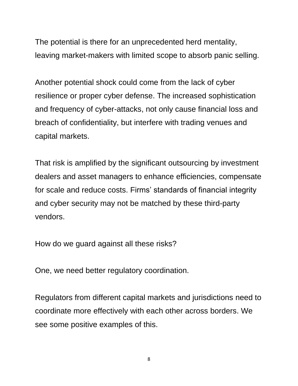The potential is there for an unprecedented herd mentality, leaving market-makers with limited scope to absorb panic selling.

Another potential shock could come from the lack of cyber resilience or proper cyber defense. The increased sophistication and frequency of cyber-attacks, not only cause financial loss and breach of confidentiality, but interfere with trading venues and capital markets.

That risk is amplified by the significant outsourcing by investment dealers and asset managers to enhance efficiencies, compensate for scale and reduce costs. Firms' standards of financial integrity and cyber security may not be matched by these third-party vendors.

How do we guard against all these risks?

One, we need better regulatory coordination.

Regulators from different capital markets and jurisdictions need to coordinate more effectively with each other across borders. We see some positive examples of this.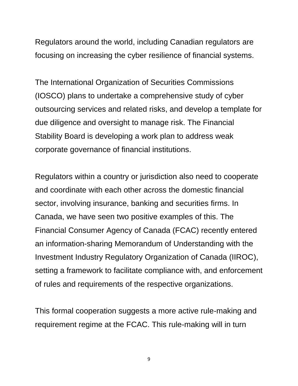Regulators around the world, including Canadian regulators are focusing on increasing the cyber resilience of financial systems.

The International Organization of Securities Commissions (IOSCO) plans to undertake a comprehensive study of cyber outsourcing services and related risks, and develop a template for due diligence and oversight to manage risk. The Financial Stability Board is developing a work plan to address weak corporate governance of financial institutions.

Regulators within a country or jurisdiction also need to cooperate and coordinate with each other across the domestic financial sector, involving insurance, banking and securities firms. In Canada, we have seen two positive examples of this. The Financial Consumer Agency of Canada (FCAC) recently entered an information-sharing Memorandum of Understanding with the Investment Industry Regulatory Organization of Canada (IIROC), setting a framework to facilitate compliance with, and enforcement of rules and requirements of the respective organizations.

This formal cooperation suggests a more active rule-making and requirement regime at the FCAC. This rule-making will in turn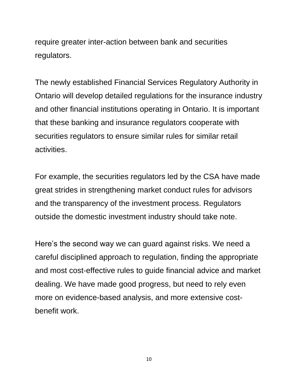require greater inter-action between bank and securities regulators.

The newly established Financial Services Regulatory Authority in Ontario will develop detailed regulations for the insurance industry and other financial institutions operating in Ontario. It is important that these banking and insurance regulators cooperate with securities regulators to ensure similar rules for similar retail activities.

For example, the securities regulators led by the CSA have made great strides in strengthening market conduct rules for advisors and the transparency of the investment process. Regulators outside the domestic investment industry should take note.

Here's the second way we can guard against risks. We need a careful disciplined approach to regulation, finding the appropriate and most cost-effective rules to guide financial advice and market dealing. We have made good progress, but need to rely even more on evidence-based analysis, and more extensive costbenefit work.